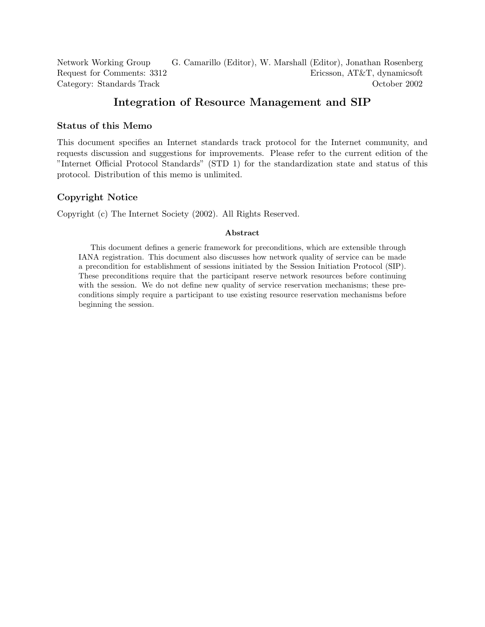Network Working Group G. Camarillo (Editor), W. Marshall (Editor), Jonathan Rosenberg Request for Comments: 3312 Ericsson, AT&T, dynamicsoft Category: Standards Track October 2002

# **Integration of Resource Management and SIP**

#### **Status of this Memo**

This document specifies an Internet standards track protocol for the Internet community, and requests discussion and suggestions for improvements. Please refer to the current edition of the "Internet Official Protocol Standards" (STD 1) for the standardization state and status of this protocol. Distribution of this memo is unlimited.

#### **Copyright Notice**

Copyright (c) The Internet Society (2002). All Rights Reserved.

#### **Abstract**

This document defines a generic framework for preconditions, which are extensible through IANA registration. This document also discusses how network quality of service can be made a precondition for establishment of sessions initiated by the Session Initiation Protocol (SIP). These preconditions require that the participant reserve network resources before continuing with the session. We do not define new quality of service reservation mechanisms; these preconditions simply require a participant to use existing resource reservation mechanisms before beginning the session.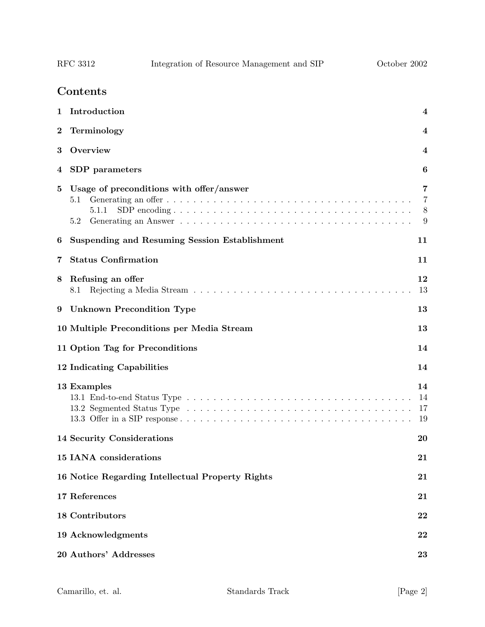|          | <b>RFC 3312</b>                                                 | Integration of Resource Management and SIP           | October 2002                  |  |  |  |
|----------|-----------------------------------------------------------------|------------------------------------------------------|-------------------------------|--|--|--|
|          | Contents                                                        |                                                      |                               |  |  |  |
| 1        | Introduction                                                    |                                                      | 4                             |  |  |  |
| $\bf{2}$ | Terminology                                                     |                                                      | 4                             |  |  |  |
| 3        | Overview                                                        |                                                      | 4                             |  |  |  |
| 4        | SDP parameters<br>6                                             |                                                      |                               |  |  |  |
| $\bf{5}$ | Usage of preconditions with offer/answer<br>5.1<br>5.1.1<br>5.2 |                                                      | 7<br>$\overline{7}$<br>8<br>9 |  |  |  |
| 6        |                                                                 | <b>Suspending and Resuming Session Establishment</b> | 11                            |  |  |  |
| 7        | <b>Status Confirmation</b>                                      |                                                      | 11                            |  |  |  |
| 8        | Refusing an offer<br>8.1                                        |                                                      | 12<br>13                      |  |  |  |
| 9        | Unknown Precondition Type                                       |                                                      | 13                            |  |  |  |
|          | 10 Multiple Preconditions per Media Stream                      |                                                      | 13                            |  |  |  |
|          | 11 Option Tag for Preconditions                                 |                                                      | 14                            |  |  |  |
|          | 12 Indicating Capabilities                                      |                                                      | 14                            |  |  |  |
|          | 13 Examples                                                     |                                                      | 14<br>14<br>17<br>19          |  |  |  |
|          | <b>14 Security Considerations</b>                               |                                                      | 20                            |  |  |  |
|          | 15 IANA considerations                                          |                                                      | 21                            |  |  |  |
|          |                                                                 | 16 Notice Regarding Intellectual Property Rights     | 21                            |  |  |  |
|          | 17 References                                                   |                                                      | 21                            |  |  |  |
|          | 18 Contributors<br>22                                           |                                                      |                               |  |  |  |
|          | 19 Acknowledgments<br>22                                        |                                                      |                               |  |  |  |
|          | 20 Authors' Addresses<br>23                                     |                                                      |                               |  |  |  |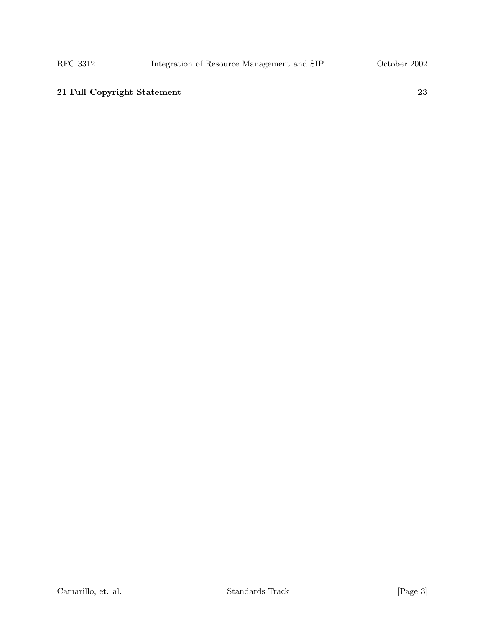## **21 Full Copyright Statement 23**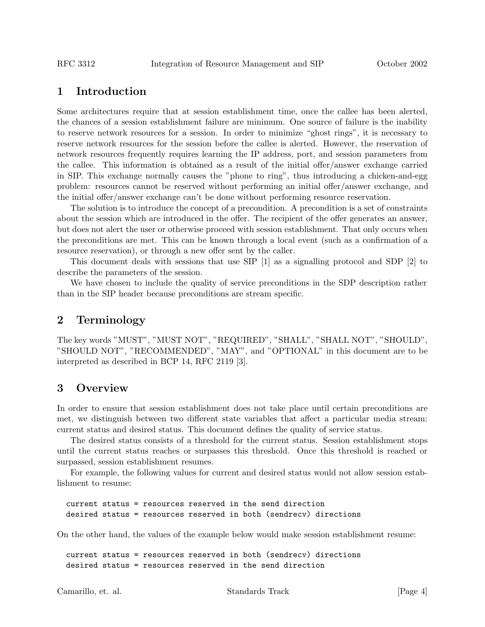## **1 Introduction**

Some architectures require that at session establishment time, once the callee has been alerted, the chances of a session establishment failure are minimum. One source of failure is the inability to reserve network resources for a session. In order to minimize "ghost rings", it is necessary to reserve network resources for the session before the callee is alerted. However, the reservation of network resources frequently requires learning the IP address, port, and session parameters from the callee. This information is obtained as a result of the initial offer/answer exchange carried in SIP. This exchange normally causes the "phone to ring", thus introducing a chicken-and-egg problem: resources cannot be reserved without performing an initial offer/answer exchange, and the initial offer/answer exchange can't be done without performing resource reservation.

The solution is to introduce the concept of a precondition. A precondition is a set of constraints about the session which are introduced in the offer. The recipient of the offer generates an answer, but does not alert the user or otherwise proceed with session establishment. That only occurs when the preconditions are met. This can be known through a local event (such as a confirmation of a resource reservation), or through a new offer sent by the caller.

This document deals with sessions that use SIP [1] as a signalling protocol and SDP [2] to describe the parameters of the session.

We have chosen to include the quality of service preconditions in the SDP description rather than in the SIP header because preconditions are stream specific.

#### **2 Terminology**

The key words "MUST", "MUST NOT", "REQUIRED", "SHALL", "SHALL NOT", "SHOULD", "SHOULD NOT", "RECOMMENDED", "MAY", and "OPTIONAL" in this document are to be interpreted as described in BCP 14, RFC 2119 [3].

### **3 Overview**

In order to ensure that session establishment does not take place until certain preconditions are met, we distinguish between two different state variables that affect a particular media stream: current status and desired status. This document defines the quality of service status.

The desired status consists of a threshold for the current status. Session establishment stops until the current status reaches or surpasses this threshold. Once this threshold is reached or surpassed, session establishment resumes.

For example, the following values for current and desired status would not allow session establishment to resume:

current status = resources reserved in the send direction desired status = resources reserved in both (sendrecv) directions

On the other hand, the values of the example below would make session establishment resume:

current status = resources reserved in both (sendrecv) directions desired status = resources reserved in the send direction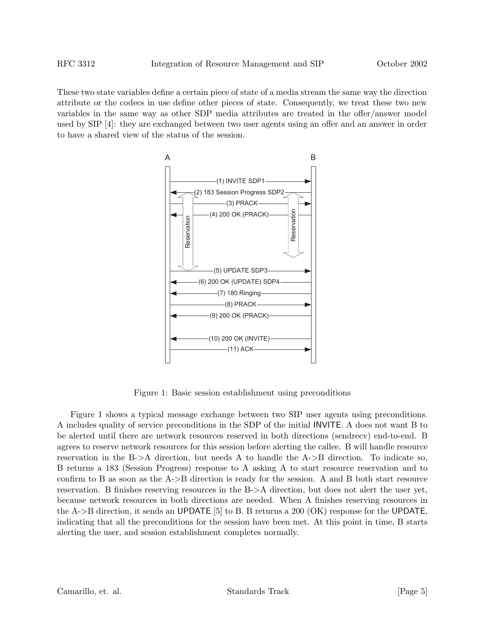These two state variables define a certain piece of state of a media stream the same way the direction attribute or the codecs in use define other pieces of state. Consequently, we treat these two new variables in the same way as other SDP media attributes are treated in the offer/answer model used by SIP [4]: they are exchanged between two user agents using an offer and an answer in order to have a shared view of the status of the session.



Figure 1: Basic session establishment using preconditions

Figure 1 shows a typical message exchange between two SIP user agents using preconditions. A includes quality of service preconditions in the SDP of the initial INVITE. A does not want B to be alerted until there are network resources reserved in both directions (sendrecv) end-to-end. B agrees to reserve network resources for this session before alerting the callee. B will handle resource reservation in the B->A direction, but needs A to handle the A->B direction. To indicate so, B returns a 183 (Session Progress) response to A asking A to start resource reservation and to confirm to B as soon as the A->B direction is ready for the session. A and B both start resource reservation. B finishes reserving resources in the B->A direction, but does not alert the user yet, because network resources in both directions are needed. When A finishes reserving resources in the A->B direction, it sends an UPDATE [5] to B. B returns a 200 (OK) response for the UPDATE, indicating that all the preconditions for the session have been met. At this point in time, B starts alerting the user, and session establishment completes normally.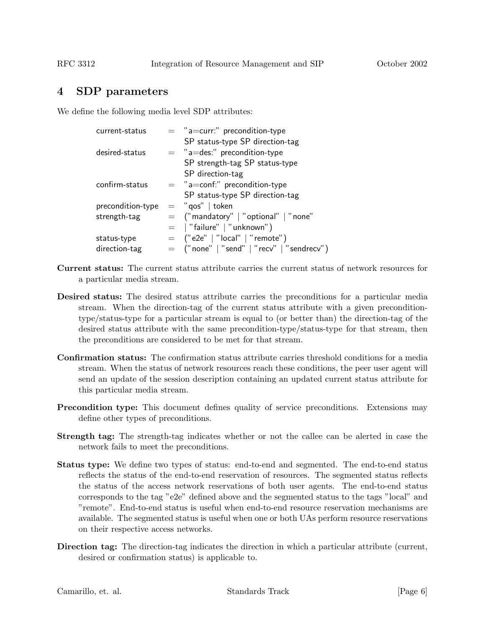## **4 SDP parameters**

We define the following media level SDP attributes:

| current-status    | $=$ "a=curr:" precondition-type             |
|-------------------|---------------------------------------------|
|                   | SP status-type SP direction-tag             |
| desired-status    | $=$ "a=des:" precondition-type              |
|                   | SP strength-tag SP status-type              |
|                   | SP direction-tag                            |
| confirm-status    | $=$ "a=conf:" precondition-type             |
|                   | SP status-type SP direction-tag             |
| precondition-type | $=$ "qos"   token                           |
| strength-tag      | $=$ ("mandatory"   "optional"   "none"      |
|                   | $=$   "failure"   "unknown")                |
| status-type       | $=$ ("e2e"   "local"   "remote")            |
| direction-tag     | $=$ ("none"   "send"   "recv"   "sendrecv") |
|                   |                                             |

- **Current status:** The current status attribute carries the current status of network resources for a particular media stream.
- **Desired status:** The desired status attribute carries the preconditions for a particular media stream. When the direction-tag of the current status attribute with a given preconditiontype/status-type for a particular stream is equal to (or better than) the direction-tag of the desired status attribute with the same precondition-type/status-type for that stream, then the preconditions are considered to be met for that stream.
- **Confirmation status:** The confirmation status attribute carries threshold conditions for a media stream. When the status of network resources reach these conditions, the peer user agent will send an update of the session description containing an updated current status attribute for this particular media stream.
- **Precondition type:** This document defines quality of service preconditions. Extensions may define other types of preconditions.
- **Strength tag:** The strength-tag indicates whether or not the callee can be alerted in case the network fails to meet the preconditions.
- **Status type:** We define two types of status: end-to-end and segmented. The end-to-end status reflects the status of the end-to-end reservation of resources. The segmented status reflects the status of the access network reservations of both user agents. The end-to-end status corresponds to the tag "e2e" defined above and the segmented status to the tags "local" and "remote". End-to-end status is useful when end-to-end resource reservation mechanisms are available. The segmented status is useful when one or both UAs perform resource reservations on their respective access networks.
- **Direction tag:** The direction-tag indicates the direction in which a particular attribute (current, desired or confirmation status) is applicable to.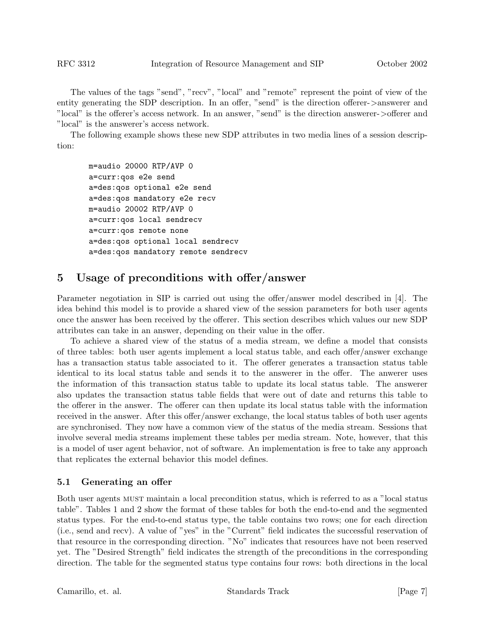The values of the tags "send", "recv", "local" and "remote" represent the point of view of the entity generating the SDP description. In an offer, "send" is the direction offerer->answerer and "local" is the offerer's access network. In an answer, "send" is the direction answerer->offerer and "local" is the answerer's access network.

The following example shows these new SDP attributes in two media lines of a session description:

m=audio 20000 RTP/AVP 0 a=curr:qos e2e send a=des:qos optional e2e send a=des:qos mandatory e2e recv m=audio 20002 RTP/AVP 0 a=curr:qos local sendrecv a=curr:qos remote none a=des:qos optional local sendrecv a=des:qos mandatory remote sendrecv

# **5 Usage of preconditions with offer/answer**

Parameter negotiation in SIP is carried out using the offer/answer model described in [4]. The idea behind this model is to provide a shared view of the session parameters for both user agents once the answer has been received by the offerer. This section describes which values our new SDP attributes can take in an answer, depending on their value in the offer.

To achieve a shared view of the status of a media stream, we define a model that consists of three tables: both user agents implement a local status table, and each offer/answer exchange has a transaction status table associated to it. The offerer generates a transaction status table identical to its local status table and sends it to the answerer in the offer. The anwerer uses the information of this transaction status table to update its local status table. The answerer also updates the transaction status table fields that were out of date and returns this table to the offerer in the answer. The offerer can then update its local status table with the information received in the answer. After this offer/answer exchange, the local status tables of both user agents are synchronised. They now have a common view of the status of the media stream. Sessions that involve several media streams implement these tables per media stream. Note, however, that this is a model of user agent behavior, not of software. An implementation is free to take any approach that replicates the external behavior this model defines.

#### **5.1 Generating an offer**

Both user agents MUST maintain a local precondition status, which is referred to as a "local status table". Tables 1 and 2 show the format of these tables for both the end-to-end and the segmented status types. For the end-to-end status type, the table contains two rows; one for each direction (i.e., send and recv). A value of "yes" in the "Current" field indicates the successful reservation of that resource in the corresponding direction. "No" indicates that resources have not been reserved yet. The "Desired Strength" field indicates the strength of the preconditions in the corresponding direction. The table for the segmented status type contains four rows: both directions in the local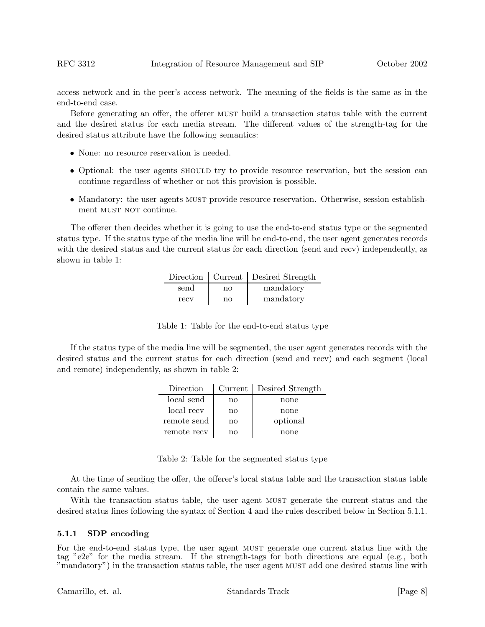access network and in the peer's access network. The meaning of the fields is the same as in the end-to-end case.

Before generating an offer, the offerer MUST build a transaction status table with the current and the desired status for each media stream. The different values of the strength-tag for the desired status attribute have the following semantics:

- None: no resource reservation is needed.
- Optional: the user agents should try to provide resource reservation, but the session can continue regardless of whether or not this provision is possible.
- Mandatory: the user agents MUST provide resource reservation. Otherwise, session establishment MUST NOT continue.

The offerer then decides whether it is going to use the end-to-end status type or the segmented status type. If the status type of the media line will be end-to-end, the user agent generates records with the desired status and the current status for each direction (send and recv) independently, as shown in table 1:

|      |    | Direction   Current   Desired Strength |
|------|----|----------------------------------------|
| send | no | mandatory                              |
| recy | no | mandatory                              |

|  |  |  |  |  | Table 1: Table for the end-to-end status type |  |  |
|--|--|--|--|--|-----------------------------------------------|--|--|
|--|--|--|--|--|-----------------------------------------------|--|--|

If the status type of the media line will be segmented, the user agent generates records with the desired status and the current status for each direction (send and recv) and each segment (local and remote) independently, as shown in table 2:

| Direction   | Current | Desired Strength |
|-------------|---------|------------------|
| local send  | no      | none             |
| local recv  | no      | none             |
| remote send | no      | optional         |
| remote recv | nο      | none             |

Table 2: Table for the segmented status type

At the time of sending the offer, the offerer's local status table and the transaction status table contain the same values.

With the transaction status table, the user agent MUST generate the current-status and the desired status lines following the syntax of Section 4 and the rules described below in Section 5.1.1.

#### **5.1.1 SDP encoding**

For the end-to-end status type, the user agent must generate one current status line with the tag "e2e" for the media stream. If the strength-tags for both directions are equal (e.g., both "mandatory") in the transaction status table, the user agent must add one desired status line with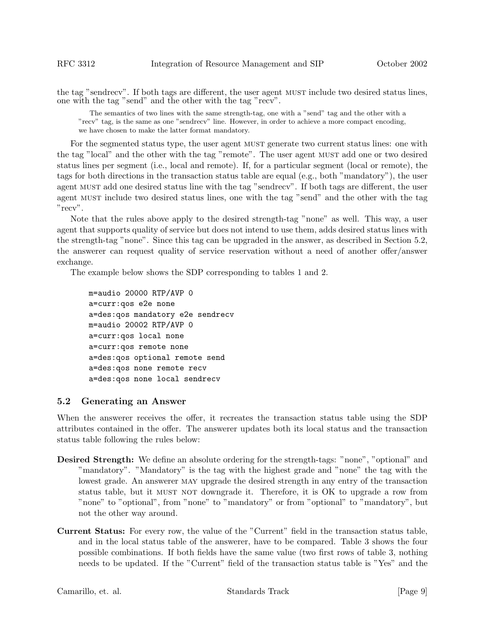the tag "sendrecv". If both tags are different, the user agent MUST include two desired status lines, one with the tag "send" and the other with the tag "recv".

The semantics of two lines with the same strength-tag, one with a "send" tag and the other with a "recv" tag, is the same as one "sendrecv" line. However, in order to achieve a more compact encoding, we have chosen to make the latter format mandatory.

For the segmented status type, the user agent must generate two current status lines: one with the tag "local" and the other with the tag "remote". The user agent must add one or two desired status lines per segment (i.e., local and remote). If, for a particular segment (local or remote), the tags for both directions in the transaction status table are equal (e.g., both "mandatory"), the user agent must add one desired status line with the tag "sendrecv". If both tags are different, the user agent must include two desired status lines, one with the tag "send" and the other with the tag "recv".

Note that the rules above apply to the desired strength-tag "none" as well. This way, a user agent that supports quality of service but does not intend to use them, adds desired status lines with the strength-tag "none". Since this tag can be upgraded in the answer, as described in Section 5.2, the answerer can request quality of service reservation without a need of another offer/answer exchange.

The example below shows the SDP corresponding to tables 1 and 2.

```
m=audio 20000 RTP/AVP 0
a=curr:qos e2e none
a=des:qos mandatory e2e sendrecv
m=audio 20002 RTP/AVP 0
a=curr:qos local none
a=curr:qos remote none
a=des:qos optional remote send
a=des:qos none remote recv
a=des:qos none local sendrecv
```
#### **5.2 Generating an Answer**

When the answerer receives the offer, it recreates the transaction status table using the SDP attributes contained in the offer. The answerer updates both its local status and the transaction status table following the rules below:

- **Desired Strength:** We define an absolute ordering for the strength-tags: "none", "optional" and "mandatory". "Mandatory" is the tag with the highest grade and "none" the tag with the lowest grade. An answerer may upgrade the desired strength in any entry of the transaction status table, but it must not downgrade it. Therefore, it is OK to upgrade a row from "none" to "optional", from "none" to "mandatory" or from "optional" to "mandatory", but not the other way around.
- **Current Status:** For every row, the value of the "Current" field in the transaction status table, and in the local status table of the answerer, have to be compared. Table 3 shows the four possible combinations. If both fields have the same value (two first rows of table 3, nothing needs to be updated. If the "Current" field of the transaction status table is "Yes" and the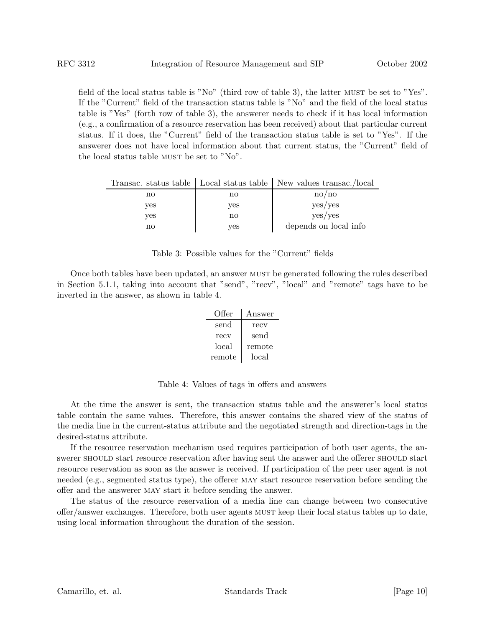field of the local status table is "No" (third row of table 3), the latter MUST be set to "Yes". If the "Current" field of the transaction status table is "No" and the field of the local status table is "Yes" (forth row of table 3), the answerer needs to check if it has local information (e.g., a confirmation of a resource reservation has been received) about that particular current status. If it does, the "Current" field of the transaction status table is set to "Yes". If the answerer does not have local information about that current status, the "Current" field of the local status table MUST be set to "No".

|     |     | Transac. status table   Local status table   New values transac./local |
|-----|-----|------------------------------------------------------------------------|
| no  | no  | no/no                                                                  |
| ves | yes | yes/yes                                                                |
| yes | no  | yes/yes                                                                |
| no  | yes | depends on local info                                                  |

| Table 3: Possible values for the "Current" fields |
|---------------------------------------------------|
|---------------------------------------------------|

Once both tables have been updated, an answer must be generated following the rules described in Section 5.1.1, taking into account that "send", "recv", "local" and "remote" tags have to be inverted in the answer, as shown in table 4.

| Offer  | Answer |
|--------|--------|
| send   | recy   |
| recy   | send   |
| local  | remote |
| remote | local  |

Table 4: Values of tags in offers and answers

At the time the answer is sent, the transaction status table and the answerer's local status table contain the same values. Therefore, this answer contains the shared view of the status of the media line in the current-status attribute and the negotiated strength and direction-tags in the desired-status attribute.

If the resource reservation mechanism used requires participation of both user agents, the answerer should start resource reservation after having sent the answer and the offerer should start resource reservation as soon as the answer is received. If participation of the peer user agent is not needed (e.g., segmented status type), the offerer may start resource reservation before sending the offer and the answerer may start it before sending the answer.

The status of the resource reservation of a media line can change between two consecutive offer/answer exchanges. Therefore, both user agents must keep their local status tables up to date, using local information throughout the duration of the session.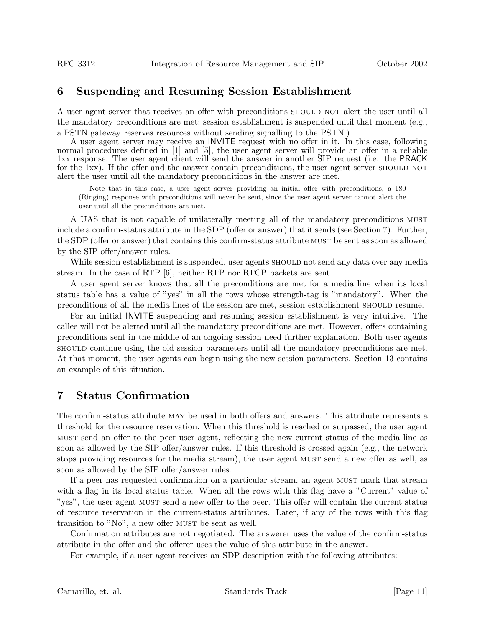### **6 Suspending and Resuming Session Establishment**

A user agent server that receives an offer with preconditions SHOULD NOT alert the user until all the mandatory preconditions are met; session establishment is suspended until that moment (e.g., a PSTN gateway reserves resources without sending signalling to the PSTN.)

A user agent server may receive an INVITE request with no offer in it. In this case, following normal procedures defined in [1] and [5], the user agent server will provide an offer in a reliable 1xx response. The user agent client will send the answer in another SIP request (i.e., the PRACK for the 1xx). If the offer and the answer contain preconditions, the user agent server SHOULD NOT alert the user until all the mandatory preconditions in the answer are met.

Note that in this case, a user agent server providing an initial offer with preconditions, a 180 (Ringing) response with preconditions will never be sent, since the user agent server cannot alert the user until all the preconditions are met.

A UAS that is not capable of unilaterally meeting all of the mandatory preconditions must include a confirm-status attribute in the SDP (offer or answer) that it sends (see Section 7). Further, the SDP (offer or answer) that contains this confirm-status attribute must be sent as soon as allowed by the SIP offer/answer rules.

While session establishment is suspended, user agents SHOULD not send any data over any media stream. In the case of RTP [6], neither RTP nor RTCP packets are sent.

A user agent server knows that all the preconditions are met for a media line when its local status table has a value of "yes" in all the rows whose strength-tag is "mandatory". When the preconditions of all the media lines of the session are met, session establishment should resume.

For an initial INVITE suspending and resuming session establishment is very intuitive. The callee will not be alerted until all the mandatory preconditions are met. However, offers containing preconditions sent in the middle of an ongoing session need further explanation. Both user agents should continue using the old session parameters until all the mandatory preconditions are met. At that moment, the user agents can begin using the new session parameters. Section 13 contains an example of this situation.

## **7 Status Confirmation**

The confirm-status attribute may be used in both offers and answers. This attribute represents a threshold for the resource reservation. When this threshold is reached or surpassed, the user agent must send an offer to the peer user agent, reflecting the new current status of the media line as soon as allowed by the SIP offer/answer rules. If this threshold is crossed again (e.g., the network stops providing resources for the media stream), the user agent MUST send a new offer as well, as soon as allowed by the SIP offer/answer rules.

If a peer has requested confirmation on a particular stream, an agent must mark that stream with a flag in its local status table. When all the rows with this flag have a "Current" value of "yes", the user agent MUST send a new offer to the peer. This offer will contain the current status of resource reservation in the current-status attributes. Later, if any of the rows with this flag transition to "No", a new offer MUST be sent as well.

Confirmation attributes are not negotiated. The answerer uses the value of the confirm-status attribute in the offer and the offerer uses the value of this attribute in the answer.

For example, if a user agent receives an SDP description with the following attributes: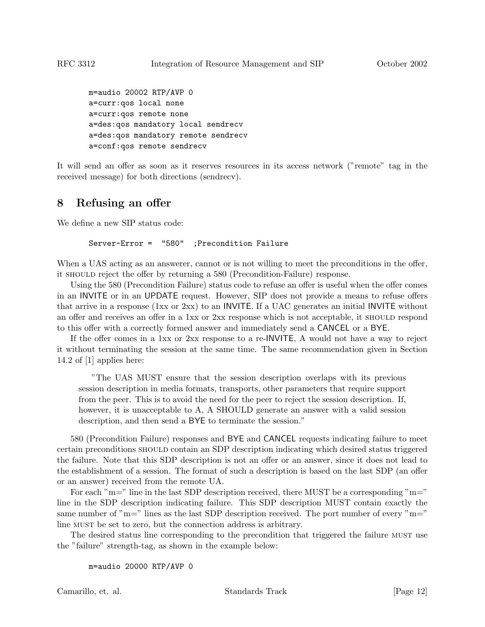```
m=audio 20002 RTP/AVP 0
a=curr:qos local none
a=curr:qos remote none
a=des:qos mandatory local sendrecv
a=des:qos mandatory remote sendrecv
a=conf:qos remote sendrecv
```
It will send an offer as soon as it reserves resources in its access network ("remote" tag in the received message) for both directions (sendrecv).

### **8 Refusing an offer**

We define a new SIP status code:

Server-Error = "580" ;Precondition Failure

When a UAS acting as an answerer, cannot or is not willing to meet the preconditions in the offer, it should reject the offer by returning a 580 (Precondition-Failure) response.

Using the 580 (Precondition Failure) status code to refuse an offer is useful when the offer comes in an INVITE or in an UPDATE request. However, SIP does not provide a means to refuse offers that arrive in a response (1xx or 2xx) to an INVITE. If a UAC generates an initial INVITE without an offer and receives an offer in a 1xx or 2xx response which is not acceptable, it should respond to this offer with a correctly formed answer and immediately send a CANCEL or a BYE.

If the offer comes in a 1xx or 2xx response to a re-INVITE, A would not have a way to reject it without terminating the session at the same time. The same recommendation given in Section 14.2 of [1] applies here:

"The UAS MUST ensure that the session description overlaps with its previous session description in media formats, transports, other parameters that require support from the peer. This is to avoid the need for the peer to reject the session description. If, however, it is unacceptable to A, A SHOULD generate an answer with a valid session description, and then send a BYE to terminate the session."

580 (Precondition Failure) responses and BYE and CANCEL requests indicating failure to meet certain preconditions should contain an SDP description indicating which desired status triggered the failure. Note that this SDP description is not an offer or an answer, since it does not lead to the establishment of a session. The format of such a description is based on the last SDP (an offer or an answer) received from the remote UA.

For each "m=" line in the last SDP description received, there MUST be a corresponding "m=" line in the SDP description indicating failure. This SDP description MUST contain exactly the same number of "m=" lines as the last SDP description received. The port number of every "m=" line must be set to zero, but the connection address is arbitrary.

The desired status line corresponding to the precondition that triggered the failure MUST use the "failure" strength-tag, as shown in the example below:

m=audio 20000 RTP/AVP 0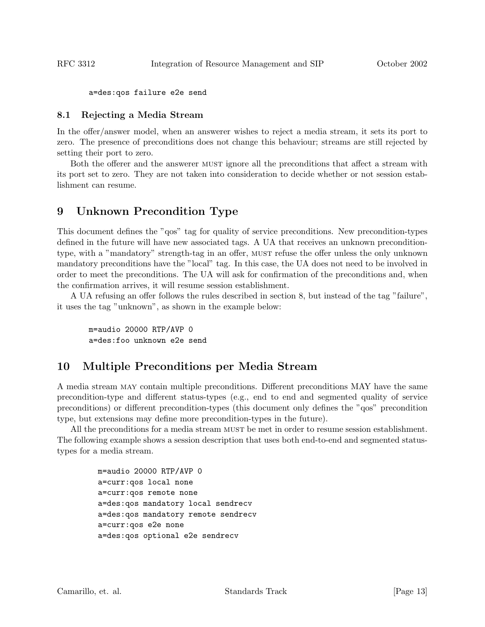a=des:qos failure e2e send

#### **8.1 Rejecting a Media Stream**

In the offer/answer model, when an answerer wishes to reject a media stream, it sets its port to zero. The presence of preconditions does not change this behaviour; streams are still rejected by setting their port to zero.

Both the offerer and the answerer must ignore all the preconditions that affect a stream with its port set to zero. They are not taken into consideration to decide whether or not session establishment can resume.

### **9 Unknown Precondition Type**

This document defines the "qos" tag for quality of service preconditions. New precondition-types defined in the future will have new associated tags. A UA that receives an unknown preconditiontype, with a "mandatory" strength-tag in an offer, must refuse the offer unless the only unknown mandatory preconditions have the "local" tag. In this case, the UA does not need to be involved in order to meet the preconditions. The UA will ask for confirmation of the preconditions and, when the confirmation arrives, it will resume session establishment.

A UA refusing an offer follows the rules described in section 8, but instead of the tag "failure", it uses the tag "unknown", as shown in the example below:

m=audio 20000 RTP/AVP 0 a=des:foo unknown e2e send

### **10 Multiple Preconditions per Media Stream**

A media stream may contain multiple preconditions. Different preconditions MAY have the same precondition-type and different status-types (e.g., end to end and segmented quality of service preconditions) or different precondition-types (this document only defines the "qos" precondition type, but extensions may define more precondition-types in the future).

All the preconditions for a media stream MUST be met in order to resume session establishment. The following example shows a session description that uses both end-to-end and segmented statustypes for a media stream.

```
m=audio 20000 RTP/AVP 0
a=curr:qos local none
a=curr:qos remote none
a=des:qos mandatory local sendrecv
a=des:qos mandatory remote sendrecv
a=curr:qos e2e none
a=des:qos optional e2e sendrecv
```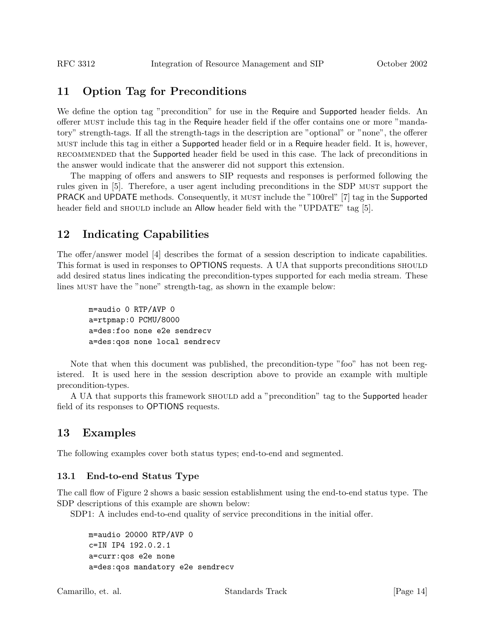## **11 Option Tag for Preconditions**

We define the option tag "precondition" for use in the Require and Supported header fields. An offerer must include this tag in the Require header field if the offer contains one or more "mandatory" strength-tags. If all the strength-tags in the description are "optional" or "none", the offerer must include this tag in either a Supported header field or in a Require header field. It is, however, recommended that the Supported header field be used in this case. The lack of preconditions in the answer would indicate that the answerer did not support this extension.

The mapping of offers and answers to SIP requests and responses is performed following the rules given in [5]. Therefore, a user agent including preconditions in the SDP MUST support the PRACK and UPDATE methods. Consequently, it must include the "100rel" [7] tag in the Supported header field and SHOULD include an Allow header field with the "UPDATE" tag [5].

# **12 Indicating Capabilities**

The offer/answer model [4] describes the format of a session description to indicate capabilities. This format is used in responses to OPTIONS requests. A UA that supports preconditions SHOULD add desired status lines indicating the precondition-types supported for each media stream. These lines MUST have the "none" strength-tag, as shown in the example below:

m=audio 0 RTP/AVP 0 a=rtpmap:0 PCMU/8000 a=des:foo none e2e sendrecv a=des:qos none local sendrecv

Note that when this document was published, the precondition-type "foo" has not been registered. It is used here in the session description above to provide an example with multiple precondition-types.

A UA that supports this framework should a de a "precondition" tag to the Supported header field of its responses to OPTIONS requests.

## **13 Examples**

The following examples cover both status types; end-to-end and segmented.

#### **13.1 End-to-end Status Type**

The call flow of Figure 2 shows a basic session establishment using the end-to-end status type. The SDP descriptions of this example are shown below:

SDP1: A includes end-to-end quality of service preconditions in the initial offer.

```
m=audio 20000 RTP/AVP 0
c=IN IP4 192.0.2.1
a=curr:qos e2e none
a=des:qos mandatory e2e sendrecv
```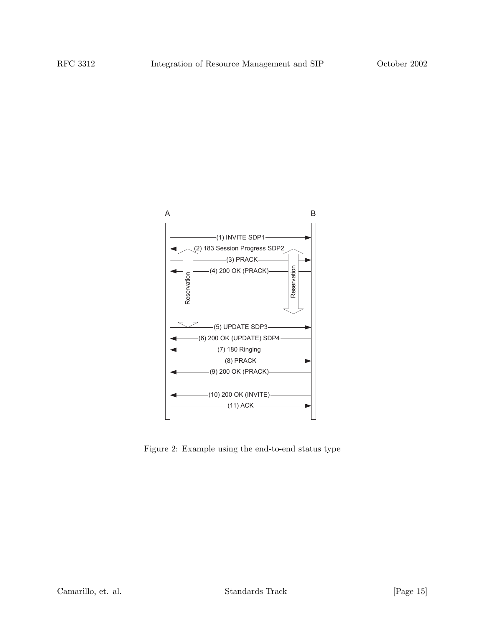

Figure 2: Example using the end-to-end status type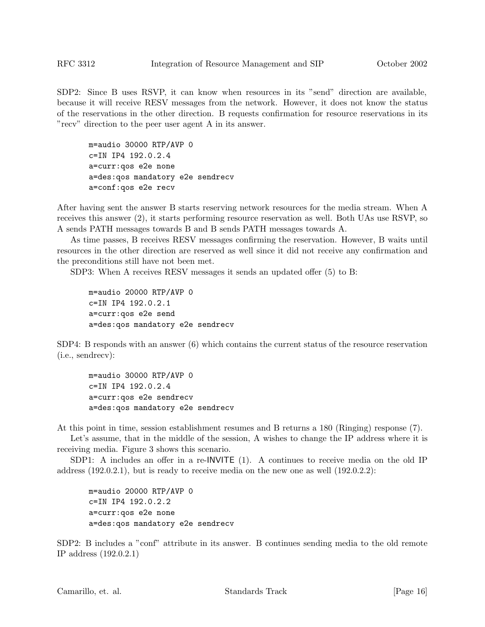SDP2: Since B uses RSVP, it can know when resources in its "send" direction are available, because it will receive RESV messages from the network. However, it does not know the status of the reservations in the other direction. B requests confirmation for resource reservations in its "recv" direction to the peer user agent A in its answer.

m=audio 30000 RTP/AVP 0 c=IN IP4 192.0.2.4 a=curr:qos e2e none a=des:qos mandatory e2e sendrecv a=conf:qos e2e recv

After having sent the answer B starts reserving network resources for the media stream. When A receives this answer (2), it starts performing resource reservation as well. Both UAs use RSVP, so A sends PATH messages towards B and B sends PATH messages towards A.

As time passes, B receives RESV messages confirming the reservation. However, B waits until resources in the other direction are reserved as well since it did not receive any confirmation and the preconditions still have not been met.

SDP3: When A receives RESV messages it sends an updated offer (5) to B:

```
m=audio 20000 RTP/AVP 0
c=IN IP4 192.0.2.1
a=curr:qos e2e send
a=des:qos mandatory e2e sendrecv
```
SDP4: B responds with an answer (6) which contains the current status of the resource reservation (i.e., sendrecv):

m=audio 30000 RTP/AVP 0 c=IN IP4 192.0.2.4 a=curr:qos e2e sendrecv a=des:qos mandatory e2e sendrecv

At this point in time, session establishment resumes and B returns a 180 (Ringing) response (7).

Let's assume, that in the middle of the session, A wishes to change the IP address where it is receiving media. Figure 3 shows this scenario.

SDP1: A includes an offer in a re-INVITE (1). A continues to receive media on the old IP address (192.0.2.1), but is ready to receive media on the new one as well (192.0.2.2):

m=audio 20000 RTP/AVP 0 c=IN IP4 192.0.2.2 a=curr:qos e2e none a=des:qos mandatory e2e sendrecv

SDP2: B includes a "conf" attribute in its answer. B continues sending media to the old remote IP address (192.0.2.1)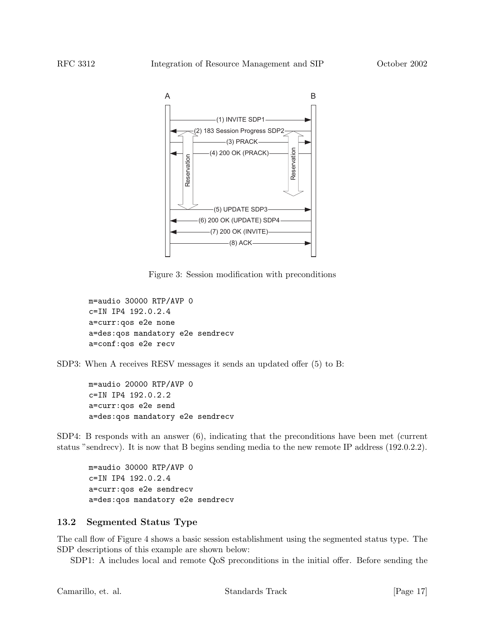

Figure 3: Session modification with preconditions

```
m=audio 30000 RTP/AVP 0
c=IN IP4 192.0.2.4
a=curr:qos e2e none
a=des:qos mandatory e2e sendrecv
a=conf:qos e2e recv
```
SDP3: When A receives RESV messages it sends an updated offer (5) to B:

m=audio 20000 RTP/AVP 0 c=IN IP4 192.0.2.2 a=curr:qos e2e send a=des:qos mandatory e2e sendrecv

SDP4: B responds with an answer (6), indicating that the preconditions have been met (current status "sendrecv). It is now that B begins sending media to the new remote IP address (192.0.2.2).

m=audio 30000 RTP/AVP 0 c=IN IP4 192.0.2.4 a=curr:qos e2e sendrecv a=des:qos mandatory e2e sendrecv

#### **13.2 Segmented Status Type**

The call flow of Figure 4 shows a basic session establishment using the segmented status type. The SDP descriptions of this example are shown below:

SDP1: A includes local and remote QoS preconditions in the initial offer. Before sending the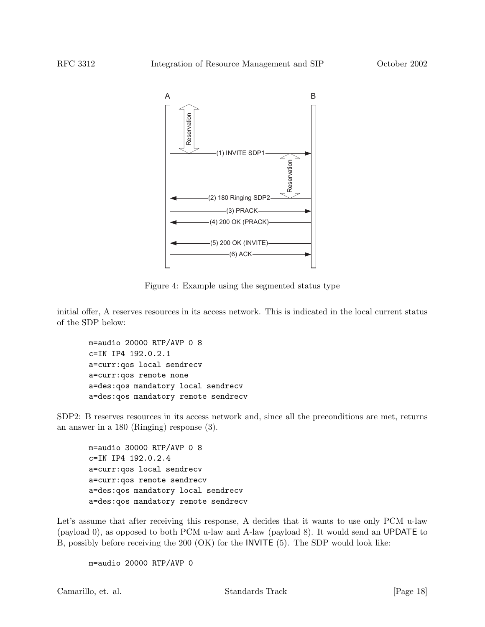

Figure 4: Example using the segmented status type

initial offer, A reserves resources in its access network. This is indicated in the local current status of the SDP below:

m=audio 20000 RTP/AVP 0 8 c=IN IP4 192.0.2.1 a=curr:qos local sendrecv a=curr:qos remote none a=des:qos mandatory local sendrecv a=des:qos mandatory remote sendrecv

SDP2: B reserves resources in its access network and, since all the preconditions are met, returns an answer in a 180 (Ringing) response (3).

m=audio 30000 RTP/AVP 0 8 c=IN IP4 192.0.2.4 a=curr:qos local sendrecv a=curr:qos remote sendrecv a=des:qos mandatory local sendrecv a=des:qos mandatory remote sendrecv

Let's assume that after receiving this response, A decides that it wants to use only PCM u-law (payload 0), as opposed to both PCM u-law and A-law (payload 8). It would send an UPDATE to B, possibly before receiving the 200 (OK) for the INVITE (5). The SDP would look like:

m=audio 20000 RTP/AVP 0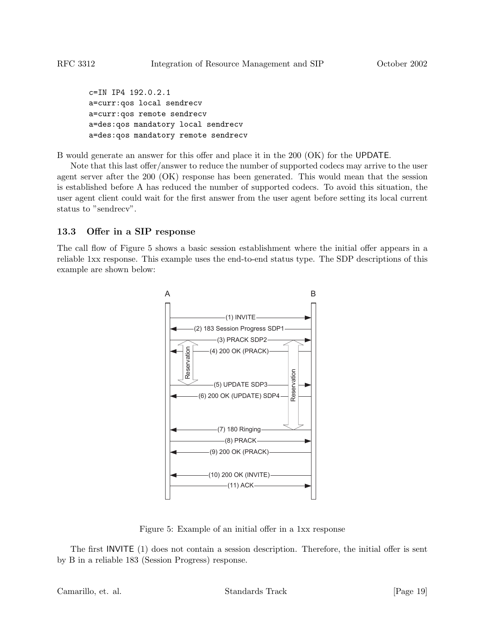c=IN IP4 192.0.2.1 a=curr:qos local sendrecv a=curr:qos remote sendrecv a=des:qos mandatory local sendrecv a=des:qos mandatory remote sendrecv

B would generate an answer for this offer and place it in the 200 (OK) for the UPDATE.

Note that this last offer/answer to reduce the number of supported codecs may arrive to the user agent server after the 200 (OK) response has been generated. This would mean that the session is established before A has reduced the number of supported codecs. To avoid this situation, the user agent client could wait for the first answer from the user agent before setting its local current status to "sendrecv".

#### **13.3 Offer in a SIP response**

The call flow of Figure 5 shows a basic session establishment where the initial offer appears in a reliable 1xx response. This example uses the end-to-end status type. The SDP descriptions of this example are shown below:



Figure 5: Example of an initial offer in a 1xx response

The first INVITE (1) does not contain a session description. Therefore, the initial offer is sent by B in a reliable 183 (Session Progress) response.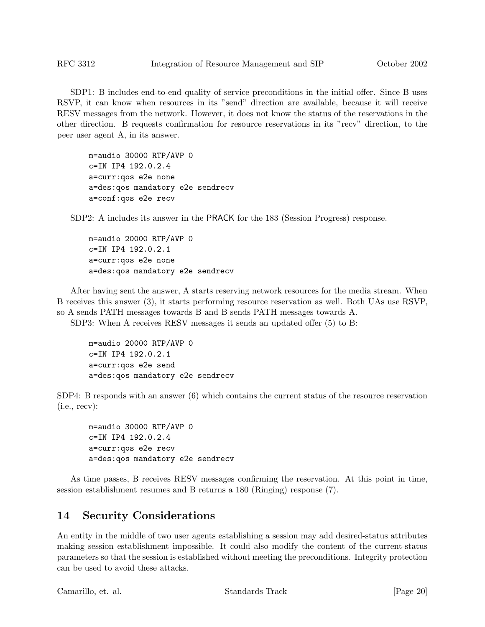SDP1: B includes end-to-end quality of service preconditions in the initial offer. Since B uses RSVP, it can know when resources in its "send" direction are available, because it will receive RESV messages from the network. However, it does not know the status of the reservations in the other direction. B requests confirmation for resource reservations in its "recv" direction, to the peer user agent A, in its answer.

m=audio 30000 RTP/AVP 0 c=IN IP4 192.0.2.4 a=curr:qos e2e none a=des:qos mandatory e2e sendrecv a=conf:qos e2e recv

SDP2: A includes its answer in the PRACK for the 183 (Session Progress) response.

m=audio 20000 RTP/AVP 0 c=IN IP4 192.0.2.1 a=curr:qos e2e none a=des:qos mandatory e2e sendrecv

After having sent the answer, A starts reserving network resources for the media stream. When B receives this answer (3), it starts performing resource reservation as well. Both UAs use RSVP, so A sends PATH messages towards B and B sends PATH messages towards A.

SDP3: When A receives RESV messages it sends an updated offer (5) to B:

m=audio 20000 RTP/AVP 0 c=IN IP4 192.0.2.1 a=curr:qos e2e send a=des:qos mandatory e2e sendrecv

SDP4: B responds with an answer (6) which contains the current status of the resource reservation  $(i.e.,$  recv $):$ 

m=audio 30000 RTP/AVP 0 c=IN IP4 192.0.2.4 a=curr:qos e2e recv a=des:qos mandatory e2e sendrecv

As time passes, B receives RESV messages confirming the reservation. At this point in time, session establishment resumes and B returns a 180 (Ringing) response (7).

## **14 Security Considerations**

An entity in the middle of two user agents establishing a session may add desired-status attributes making session establishment impossible. It could also modify the content of the current-status parameters so that the session is established without meeting the preconditions. Integrity protection can be used to avoid these attacks.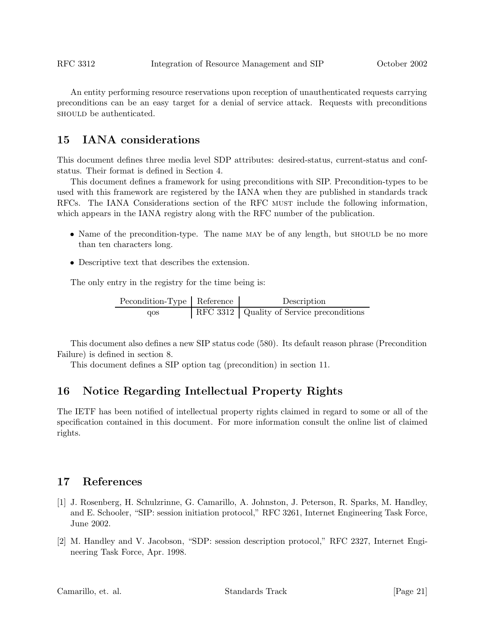An entity performing resource reservations upon reception of unauthenticated requests carrying preconditions can be an easy target for a denial of service attack. Requests with preconditions should be authenticated.

## **15 IANA considerations**

This document defines three media level SDP attributes: desired-status, current-status and confstatus. Their format is defined in Section 4.

This document defines a framework for using preconditions with SIP. Precondition-types to be used with this framework are registered by the IANA when they are published in standards track RFCs. The IANA Considerations section of the RFC must include the following information, which appears in the IANA registry along with the RFC number of the publication.

- Name of the precondition-type. The name MAY be of any length, but SHOULD be no more than ten characters long.
- Descriptive text that describes the extension.

The only entry in the registry for the time being is:

Pecondition-Type Reference Description qos RFC 3312 Quality of Service preconditions

This document also defines a new SIP status code (580). Its default reason phrase (Precondition Failure) is defined in section 8.

This document defines a SIP option tag (precondition) in section 11.

## **16 Notice Regarding Intellectual Property Rights**

The IETF has been notified of intellectual property rights claimed in regard to some or all of the specification contained in this document. For more information consult the online list of claimed rights.

## **17 References**

- [1] J. Rosenberg, H. Schulzrinne, G. Camarillo, A. Johnston, J. Peterson, R. Sparks, M. Handley, and E. Schooler, "SIP: session initiation protocol," RFC 3261, Internet Engineering Task Force, June 2002.
- [2] M. Handley and V. Jacobson, "SDP: session description protocol," RFC 2327, Internet Engineering Task Force, Apr. 1998.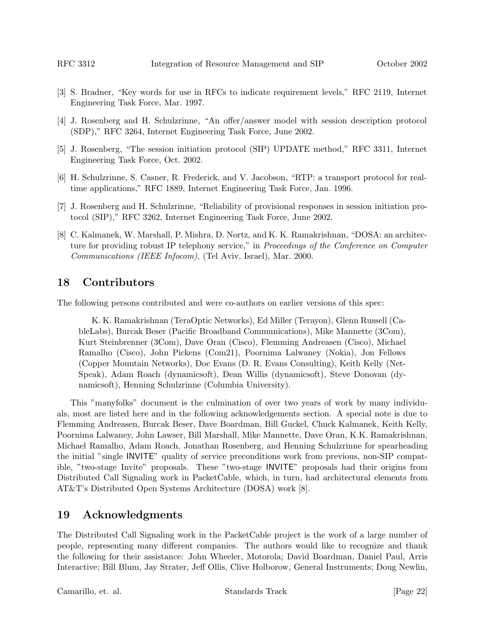- [3] S. Bradner, "Key words for use in RFCs to indicate requirement levels," RFC 2119, Internet Engineering Task Force, Mar. 1997.
- [4] J. Rosenberg and H. Schulzrinne, "An offer/answer model with session description protocol (SDP)," RFC 3264, Internet Engineering Task Force, June 2002.
- [5] J. Rosenberg, "The session initiation protocol (SIP) UPDATE method," RFC 3311, Internet Engineering Task Force, Oct. 2002.
- [6] H. Schulzrinne, S. Casner, R. Frederick, and V. Jacobson, "RTP: a transport protocol for realtime applications," RFC 1889, Internet Engineering Task Force, Jan. 1996.
- [7] J. Rosenberg and H. Schulzrinne, "Reliability of provisional responses in session initiation protocol (SIP)," RFC 3262, Internet Engineering Task Force, June 2002.
- [8] C. Kalmanek, W. Marshall, P. Mishra, D. Nortz, and K. K. Ramakrishnan, "DOSA: an architecture for providing robust IP telephony service," in Proceedings of the Conference on Computer Communications (IEEE Infocom), (Tel Aviv, Israel), Mar. 2000.

## **18 Contributors**

The following persons contributed and were co-authors on earlier versions of this spec:

K. K. Ramakrishnan (TeraOptic Networks), Ed Miller (Terayon), Glenn Russell (CableLabs), Burcak Beser (Pacific Broadband Communications), Mike Mannette (3Com), Kurt Steinbrenner (3Com), Dave Oran (Cisco), Flemming Andreasen (Cisco), Michael Ramalho (Cisco), John Pickens (Com21), Poornima Lalwaney (Nokia), Jon Fellows (Copper Mountain Networks), Doc Evans (D. R. Evans Consulting), Keith Kelly (Net-Speak), Adam Roach (dynamicsoft), Dean Willis (dynamicsoft), Steve Donovan (dynamicsoft), Henning Schulzrinne (Columbia University).

This "manyfolks" document is the culmination of over two years of work by many individuals, most are listed here and in the following acknowledgements section. A special note is due to Flemming Andreasen, Burcak Beser, Dave Boardman, Bill Guckel, Chuck Kalmanek, Keith Kelly, Poornima Lalwaney, John Lawser, Bill Marshall, Mike Mannette, Dave Oran, K.K. Ramakrishnan, Michael Ramalho, Adam Roach, Jonathan Rosenberg, and Henning Schulzrinne for spearheading the initial "single INVITE" quality of service preconditions work from previous, non-SIP compatible, "two-stage Invite" proposals. These "two-stage INVITE" proposals had their origins from Distributed Call Signaling work in PacketCable, which, in turn, had architectural elements from AT&T's Distributed Open Systems Architecture (DOSA) work [8].

### **19 Acknowledgments**

The Distributed Call Signaling work in the PacketCable project is the work of a large number of people, representing many different companies. The authors would like to recognize and thank the following for their assistance: John Wheeler, Motorola; David Boardman, Daniel Paul, Arris Interactive; Bill Blum, Jay Strater, Jeff Ollis, Clive Holborow, General Instruments; Doug Newlin,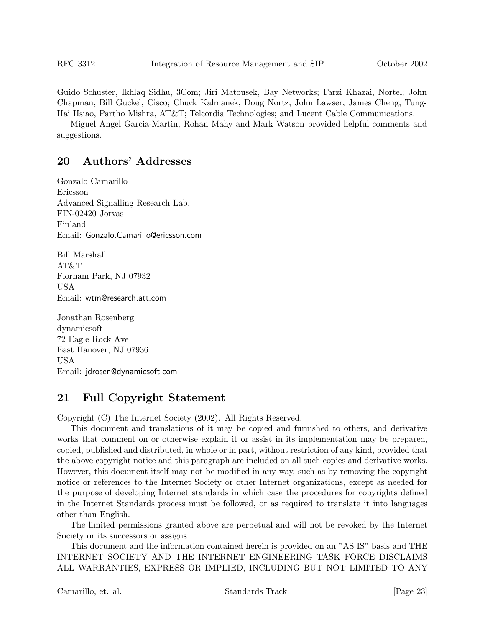Guido Schuster, Ikhlaq Sidhu, 3Com; Jiri Matousek, Bay Networks; Farzi Khazai, Nortel; John Chapman, Bill Guckel, Cisco; Chuck Kalmanek, Doug Nortz, John Lawser, James Cheng, Tung-Hai Hsiao, Partho Mishra, AT&T; Telcordia Technologies; and Lucent Cable Communications.

Miguel Angel Garcia-Martin, Rohan Mahy and Mark Watson provided helpful comments and suggestions.

## **20 Authors' Addresses**

Gonzalo Camarillo Ericsson Advanced Signalling Research Lab. FIN-02420 Jorvas Finland Email: Gonzalo.Camarillo@ericsson.com

Bill Marshall AT&T Florham Park, NJ 07932 USA Email: wtm@research.att.com

Jonathan Rosenberg dynamicsoft 72 Eagle Rock Ave East Hanover, NJ 07936 USA Email: jdrosen@dynamicsoft.com

## **21 Full Copyright Statement**

Copyright (C) The Internet Society (2002). All Rights Reserved.

This document and translations of it may be copied and furnished to others, and derivative works that comment on or otherwise explain it or assist in its implementation may be prepared, copied, published and distributed, in whole or in part, without restriction of any kind, provided that the above copyright notice and this paragraph are included on all such copies and derivative works. However, this document itself may not be modified in any way, such as by removing the copyright notice or references to the Internet Society or other Internet organizations, except as needed for the purpose of developing Internet standards in which case the procedures for copyrights defined in the Internet Standards process must be followed, or as required to translate it into languages other than English.

The limited permissions granted above are perpetual and will not be revoked by the Internet Society or its successors or assigns.

This document and the information contained herein is provided on an "AS IS" basis and THE INTERNET SOCIETY AND THE INTERNET ENGINEERING TASK FORCE DISCLAIMS ALL WARRANTIES, EXPRESS OR IMPLIED, INCLUDING BUT NOT LIMITED TO ANY